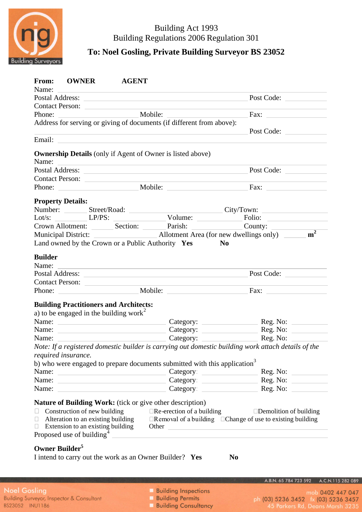

# Building Act 1993 Building Regulations 2006 Regulation 301

**To: Noel Gosling, Private Building Surveyor BS 23052**

|                | From: OWNER AGENT                                                                                                     |  |                                                                                                                                                                                                                                      |                                                                                                                                                                                                                                      |
|----------------|-----------------------------------------------------------------------------------------------------------------------|--|--------------------------------------------------------------------------------------------------------------------------------------------------------------------------------------------------------------------------------------|--------------------------------------------------------------------------------------------------------------------------------------------------------------------------------------------------------------------------------------|
| Name:          | <u> 1980 - Jan Barbara de Santo III e al Indonesia de la contrada de la contrada de la contrada de la contrada de</u> |  | Postal Address: <u>New York: New York: New York: New York: New York: New York: New York: New York: New York: New York: New York: New York: New York: New York: New York: New York: New York: New York: New York: New York: New Y</u> | Post Code:                                                                                                                                                                                                                           |
|                |                                                                                                                       |  | Contact Person:                                                                                                                                                                                                                      |                                                                                                                                                                                                                                      |
|                |                                                                                                                       |  |                                                                                                                                                                                                                                      | Fax:                                                                                                                                                                                                                                 |
|                |                                                                                                                       |  | Address for serving or giving of documents (if different from above):                                                                                                                                                                |                                                                                                                                                                                                                                      |
|                |                                                                                                                       |  | <u> 1989 - Andrea Stadt Britain, amerikansk politik (* 1908)</u>                                                                                                                                                                     | Post Code:                                                                                                                                                                                                                           |
|                |                                                                                                                       |  | Email: Email: Email: Email: Email: Email: Email: Email: Email: Email: Email: Email: Email: Email: Email: Email: Email: Email: Email: Email: Email: Email: Email: Email: Email: Email: Email: Email: Email: Email: Email: Email       |                                                                                                                                                                                                                                      |
|                |                                                                                                                       |  | <b>Ownership Details</b> (only if Agent of Owner is listed above)                                                                                                                                                                    |                                                                                                                                                                                                                                      |
|                |                                                                                                                       |  |                                                                                                                                                                                                                                      |                                                                                                                                                                                                                                      |
|                |                                                                                                                       |  |                                                                                                                                                                                                                                      |                                                                                                                                                                                                                                      |
|                | Contact Person:                                                                                                       |  |                                                                                                                                                                                                                                      |                                                                                                                                                                                                                                      |
|                |                                                                                                                       |  |                                                                                                                                                                                                                                      |                                                                                                                                                                                                                                      |
|                | <b>Property Details:</b>                                                                                              |  |                                                                                                                                                                                                                                      |                                                                                                                                                                                                                                      |
|                |                                                                                                                       |  |                                                                                                                                                                                                                                      | Number: ________ Street/Road: _______________________________City/Town: ____________________________                                                                                                                                 |
|                |                                                                                                                       |  |                                                                                                                                                                                                                                      | Lot/s: LET LET COUNTER LET TO BE COUNTER COUNTY: LET TOWER ALL COUNTER COUNTY:                                                                                                                                                       |
|                |                                                                                                                       |  |                                                                                                                                                                                                                                      |                                                                                                                                                                                                                                      |
|                |                                                                                                                       |  |                                                                                                                                                                                                                                      |                                                                                                                                                                                                                                      |
|                |                                                                                                                       |  | Land owned by the Crown or a Public Authority Yes                                                                                                                                                                                    | N <sub>0</sub>                                                                                                                                                                                                                       |
| <b>Builder</b> |                                                                                                                       |  |                                                                                                                                                                                                                                      |                                                                                                                                                                                                                                      |
| Name:          |                                                                                                                       |  | <u> 1989 - Johann Stoff, amerikansk politiker (* 1908)</u>                                                                                                                                                                           |                                                                                                                                                                                                                                      |
|                |                                                                                                                       |  |                                                                                                                                                                                                                                      | Post Code:                                                                                                                                                                                                                           |
|                |                                                                                                                       |  | Contact Person:                                                                                                                                                                                                                      |                                                                                                                                                                                                                                      |
|                |                                                                                                                       |  |                                                                                                                                                                                                                                      | Fax: $\qquad \qquad$                                                                                                                                                                                                                 |
|                | <b>Building Practitioners and Architects:</b>                                                                         |  |                                                                                                                                                                                                                                      |                                                                                                                                                                                                                                      |
|                | a) to be engaged in the building work <sup>2</sup>                                                                    |  |                                                                                                                                                                                                                                      |                                                                                                                                                                                                                                      |
|                |                                                                                                                       |  |                                                                                                                                                                                                                                      | Name: Name: Name: Reg. No: No. 2014 No. 2014 Name: 2014 No. 2014 No. 2014 No. 2014 No. 2014 No. 2014 No. 2014 No. 2014 No. 2014 No. 2014 No. 2014 No. 2014 No. 2014 No. 2014 No. 2014 No. 2014 No. 2014 No. 2014 No. 2014 No.        |
|                |                                                                                                                       |  |                                                                                                                                                                                                                                      |                                                                                                                                                                                                                                      |
|                |                                                                                                                       |  |                                                                                                                                                                                                                                      |                                                                                                                                                                                                                                      |
|                |                                                                                                                       |  |                                                                                                                                                                                                                                      | Note: If a registered domestic builder is carrying out domestic building work attach details of the                                                                                                                                  |
|                | required insurance.                                                                                                   |  |                                                                                                                                                                                                                                      |                                                                                                                                                                                                                                      |
|                |                                                                                                                       |  | b) who were engaged to prepare documents submitted with this application <sup>3</sup>                                                                                                                                                |                                                                                                                                                                                                                                      |
| Name:          | the control of the control of the control of the control of                                                           |  |                                                                                                                                                                                                                                      | Category:                                                                                                                                                                                                                            |
| Name:          |                                                                                                                       |  |                                                                                                                                                                                                                                      |                                                                                                                                                                                                                                      |
| Name:          | <u> 1989 - John Stone, Amerikaansk politiker (</u>                                                                    |  |                                                                                                                                                                                                                                      |                                                                                                                                                                                                                                      |
|                |                                                                                                                       |  |                                                                                                                                                                                                                                      |                                                                                                                                                                                                                                      |
|                |                                                                                                                       |  | <b>Nature of Building Work:</b> (tick or give other description)                                                                                                                                                                     |                                                                                                                                                                                                                                      |
|                | Construction of new building                                                                                          |  | $\Box$ Re-erection of a building                                                                                                                                                                                                     | $\square$ Demolition of building                                                                                                                                                                                                     |
| $\Box$         | Alteration to an existing building                                                                                    |  |                                                                                                                                                                                                                                      | $\Box$ Removal of a building $\Box$ Change of use to existing building                                                                                                                                                               |
| $\Box$         | Extension to an existing building                                                                                     |  |                                                                                                                                                                                                                                      | Other <u>the contract of the contract of the contract of the contract of the contract of the contract of the contract of the contract of the contract of the contract of the contract of the contract of the contract of the con</u> |
|                | Proposed use of building <sup>4</sup>                                                                                 |  |                                                                                                                                                                                                                                      |                                                                                                                                                                                                                                      |
|                |                                                                                                                       |  |                                                                                                                                                                                                                                      |                                                                                                                                                                                                                                      |
|                | Owner Builder <sup>5</sup>                                                                                            |  |                                                                                                                                                                                                                                      |                                                                                                                                                                                                                                      |
|                |                                                                                                                       |  | I intend to carry out the work as an Owner Builder? Yes                                                                                                                                                                              | N <sub>0</sub>                                                                                                                                                                                                                       |

**Building Inspections** 

A.B.N. 65 784 723 592 A.C.N.115 282 089

- mob 0402 447 047 ph (03) 5236 3452 fx (03) 5236 3457<br>45 Parkers Rd, Deans Marsh 3235
- **Building Permits**
- **Building Consultancy**